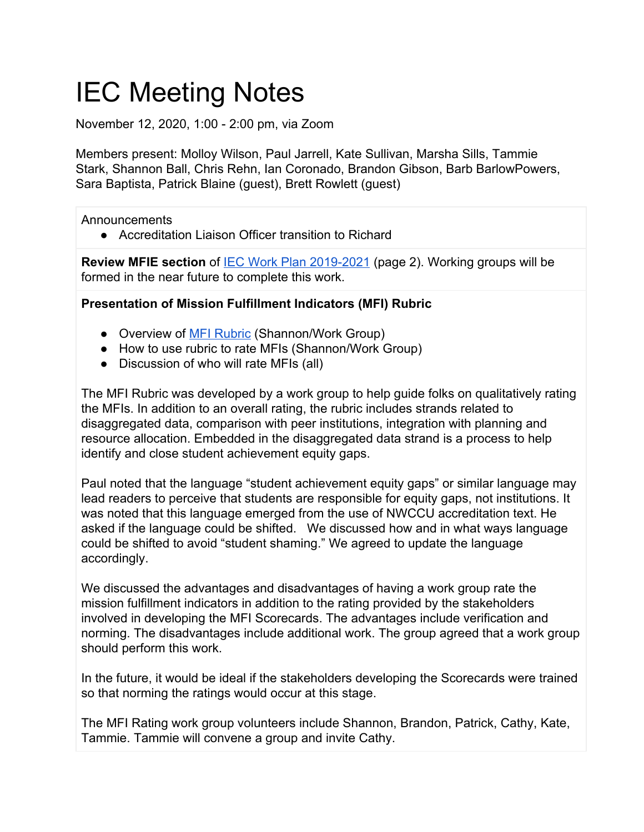# IEC Meeting Notes

November 12, 2020, 1:00 - 2:00 pm, via Zoom

Members present: Molloy Wilson, Paul Jarrell, Kate Sullivan, Marsha Sills, Tammie Stark, Shannon Ball, Chris Rehn, Ian Coronado, Brandon Gibson, Barb BarlowPowers, Sara Baptista, Patrick Blaine (guest), Brett Rowlett (guest)

Announcements

● Accreditation Liaison Officer transition to Richard

**Review MFIE section** of [IEC Work Plan 2019-2021](https://docs.google.com/document/d/19n01OysbpfPfBtDwm6muwnbbZb6PvWDjei0C1ttIqJY/edit?usp=sharing) (page 2). Working groups will be formed in the near future to complete this work.

### **Presentation of Mission Fulfillment Indicators (MFI) Rubric**

- Overview of **[MFI Rubric](https://docs.google.com/document/d/12W41z12lumB-UtG4O2I4V5UNKGNnCwE3EZzri7YEwNQ/edit)** (Shannon/Work Group)
- How to use rubric to rate MFIs (Shannon/Work Group)
- Discussion of who will rate MFIs (all)

The MFI Rubric was developed by a work group to help guide folks on qualitatively rating the MFIs. In addition to an overall rating, the rubric includes strands related to disaggregated data, comparison with peer institutions, integration with planning and resource allocation. Embedded in the disaggregated data strand is a process to help identify and close student achievement equity gaps.

Paul noted that the language "student achievement equity gaps" or similar language may lead readers to perceive that students are responsible for equity gaps, not institutions. It was noted that this language emerged from the use of NWCCU accreditation text. He asked if the language could be shifted. We discussed how and in what ways language could be shifted to avoid "student shaming." We agreed to update the language accordingly.

We discussed the advantages and disadvantages of having a work group rate the mission fulfillment indicators in addition to the rating provided by the stakeholders involved in developing the MFI Scorecards. The advantages include verification and norming. The disadvantages include additional work. The group agreed that a work group should perform this work.

In the future, it would be ideal if the stakeholders developing the Scorecards were trained so that norming the ratings would occur at this stage.

The MFI Rating work group volunteers include Shannon, Brandon, Patrick, Cathy, Kate, Tammie. Tammie will convene a group and invite Cathy.